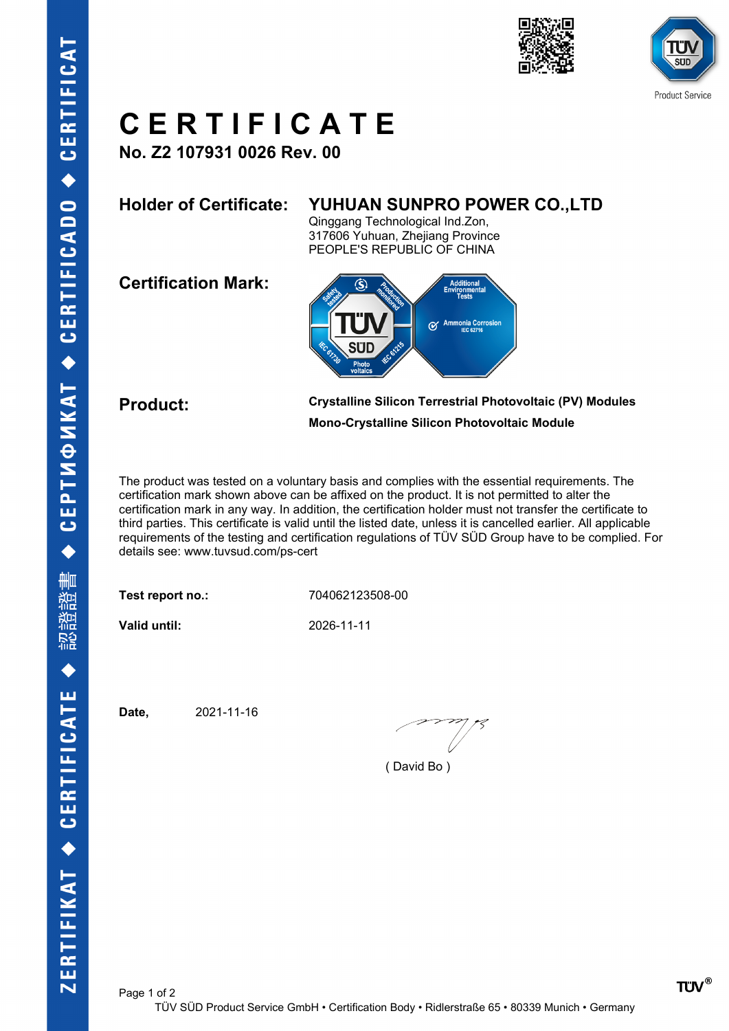





## **C E R T I F I C A T E**

**No. Z2 107931 0026 Rev. 00**

## **Holder of Certificate: YUHUAN SUNPRO POWER CO.,LTD**

Qinggang Technological Ind.Zon, 317606 Yuhuan, Zhejiang Province PEOPLE'S REPUBLIC OF CHINA

**Certification Mark:**



**Product: Crystalline Silicon Terrestrial Photovoltaic (PV) Modules Mono-Crystalline Silicon Photovoltaic Module**

The product was tested on a voluntary basis and complies with the essential requirements. The certification mark shown above can be affixed on the product. It is not permitted to alter the certification mark in any way. In addition, the certification holder must not transfer the certificate to third parties. This certificate is valid until the listed date, unless it is cancelled earlier. All applicable requirements of the testing and certification regulations of TÜV SÜD Group have to be complied. For details see: www.tuvsud.com/ps-cert

**Test report no.:** 704062123508-00

**Valid until:** 2026-11-11

**Date,** 2021-11-16

( David Bo )